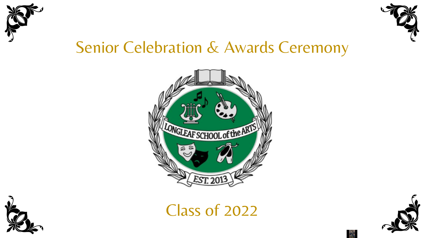



## Senior Celebration & Awards Ceremony





Class of 2022



 $\triangle$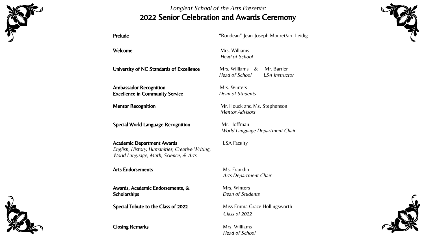

#### Longleaf School of the Arts Presents: 2022 Senior Celebration and Awards Ceremony

Prelude The Team and the Mondeau" Jean Joseph Mouret/arr. Leidig

University of NC Standards of Excellence Mrs. Williams & Mr. Barrier

Ambassador Recognition Mrs. Winters **Excellence in Community Service** Dean of Students

Special World Language Recognition Mr. Hoffman

Academic Department Awards **LSA Faculty** English, History, Humanities, Creative Writing, World Language, Math, Science, & Arts

#### Arts Endorsements Ms. Franklin

Awards, Academic Endorsements, & Mrs. Winters Scholarships **Scholarships** Dean of Students

Special Tribute to the Class of 2022 Miss Emma Grace Hollingsworth

Closing Remarks Mrs. Williams

Welcome Mrs. Williams Head of School

Head of School LSA Instructor

**Mentor Recognition** Mr. Houck and Ms. Stephenson Mentor Advisors

World Language Department Chair

Arts Department Chair

Class of 2022

Head of School





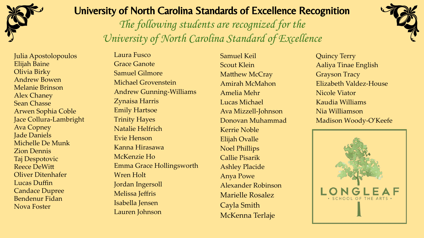

Julia Apostolopoulos Elijah Baine Olivia Birky Andrew Bowen Melanie Brinson Alex Chaney Sean Chasse Arwen Sophia Coble Jace Collura-Lambright Ava Copney Jade Daniels Michelle De Munk Zion Dennis Taj Despotovic Reece DeWitt Oliver Ditenhafer Lucas Duffin Candace Dupree Bendenur Fidan Nova Foster

#### University of North Carolina Standards of Excellence Recognition

The following students are recognized for the University of North Carolina Standard of Excellence



Laura Fusco Grace Ganote Samuel Gilmore Michael Grovenstein Andrew Gunning-Williams Zynaisa Harris Emily Hartsoe Trinity Hayes Natalie Helfrich Evie Henson Kanna Hirasawa McKenzie Ho Emma Grace Hollingsworth Wren Holt Jordan Ingersoll Melissa Jeffris Isabella Jensen Lauren Johnson

Samuel Keil Scout Klein Matthew McCray Amirah McMahon Amelia Mehr Lucas Michael Ava Mizzell-Johnson Donovan Muhammad Kerrie Noble Elijah Ovalle Noel Phillips Callie Pisarik Ashley Placide Anya Powe Alexander Robinson Marielle Rosalez Cayla Smith McKenna Terlaje

Quincy Terry Aaliya Tinae English Grayson Tracy Elizabeth Valdez-House Nicole Viator Kaudia Williams Nia Williamson Madison Woody-O'Keefe

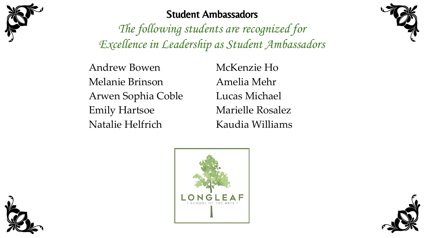

#### Student Ambassadors

The following students are recognized for Excellence in Leadership as Student Ambassadors

Andrew Bowen Melanie Brinson Arwen Sophia Coble Emily Hartsoe Natalie Helfrich

McKenzie Ho Amelia Mehr Lucas Michael Marielle Rosalez Kaudia Williams







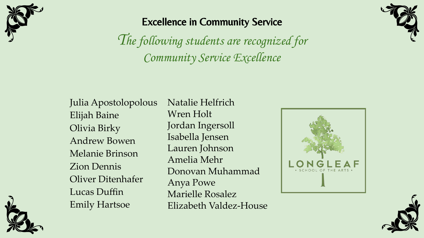

#### Excellence in Community Service

The following students are recognized for Community Service Excellence



Julia Apostolopolous Elijah Baine Olivia Birky Andrew Bowen Melanie Brinson Zion Dennis Oliver Ditenhafer Lucas Duffin Emily Hartsoe

Natalie Helfrich Wren Holt Jordan Ingersoll Isabella Jensen Lauren Johnson Amelia Mehr Donovan Muhammad Anya Powe Marielle Rosalez Elizabeth Valdez-House





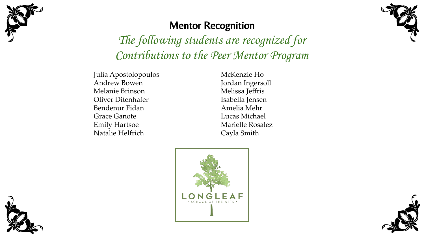



## Mentor Recognition

The following students are recognized for Contributions to the Peer Mentor Program

Julia Apostolopoulos Andrew Bowen Melanie Brinson Oliver Ditenhafer Bendenur Fidan Grace Ganote Emily Hartsoe Natalie Helfrich

McKenzie Ho Jordan Ingersoll Melissa Jeffris Isabella Jensen Amelia Mehr Lucas Michael Marielle Rosalez Cayla Smith





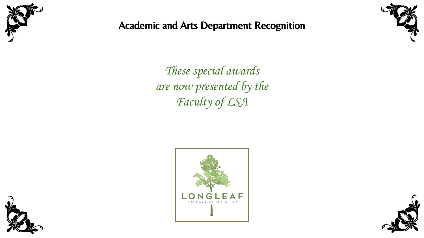

#### Academic and Arts Department Recognition



These special awards are now presented by the Faculty of LSA





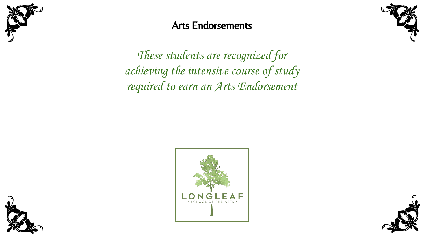

#### Arts Endorsements



These students are recognized for achieving the intensive course of study required to earn an Arts Endorsement





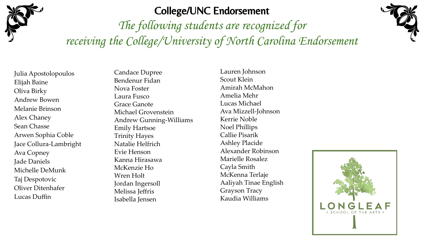

#### College/UNC Endorsement

The following students are recognized for receiving the College/University of North Carolina Endorsement



Julia Apostolopoulos Elijah Baine Oliva Birky Andrew Bowen Melanie Brinson Alex Chaney Sean Chasse Arwen Sophia Coble Jace Collura-Lambright Ava Copney Jade Daniels Michelle DeMunk Taj Despotovic Oliver Ditenhafer Lucas Duffin

Candace Dupree Bendenur Fidan Nova Foster Laura Fusco Grace Ganote Michael Grovenstein Andrew Gunning-Williams Emily Hartsoe Trinity Hayes Natalie Helfrich Evie Henson Kanna Hirasawa McKenzie Ho Wren Holt Jordan Ingersoll Melissa Jeffris Isabella Jensen

Lauren Johnson Scout Klein Amirah McMahon Amelia Mehr Lucas Michael Ava Mizzell-Johnson Kerrie Noble Noel Phillips Callie Pisarik Ashley Placide Alexander Robinson Marielle Rosalez Cayla Smith McKenna Terlaje Aaliyah Tinae English Grayson Tracy Kaudia Williams

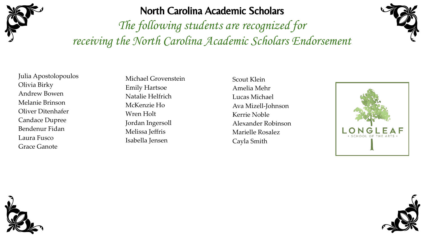

#### North Carolina Academic Scholars

The following students are recognized for receiving the North Carolina Academic Scholars Endorsement



Julia Apostolopoulos Olivia Birky Andrew Bowen Melanie Brinson Oliver Ditenhafer Candace Dupree Bendenur Fidan Laura Fusco Grace Ganote

Michael Grovenstein Emily Hartsoe Natalie Helfrich McKenzie Ho Wren Holt Jordan Ingersoll Melissa Jeffris Isabella Jensen

Scout Klein Amelia Mehr Lucas Michael Ava Mizell-Johnson Kerrie Noble Alexander Robinson Marielle Rosalez Cayla Smith





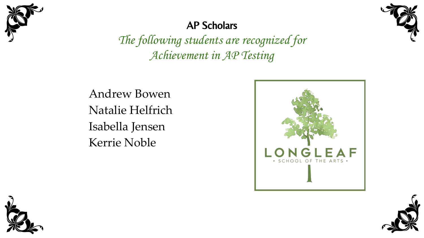

#### AP Scholars

The following students are recognized for Achievement in AP Testing

Andrew Bowen Natalie Helfrich Isabella Jensen Kerrie Noble







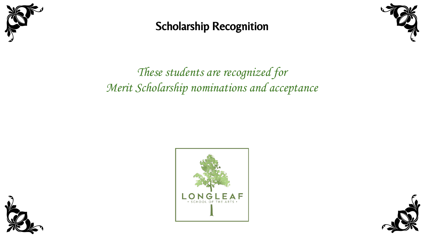

Scholarship Recognition



## These students are recognized for Merit Scholarship nominations and acceptance





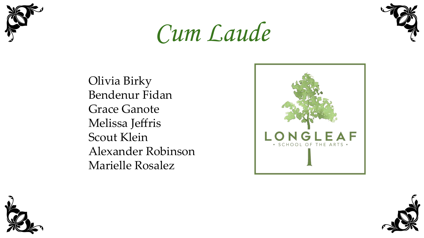





Olivia Birky Bendenur Fidan Grace Ganote Melissa Jeffris Scout Klein Alexander Robinson Marielle Rosalez





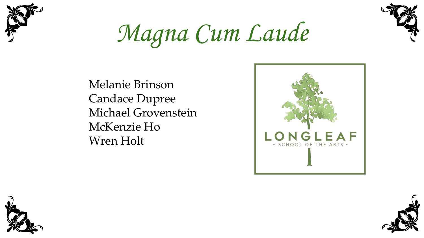



Magna Cum Laude

Melanie Brinson Candace Dupree Michael Grovenstein McKenzie Ho Wren Holt





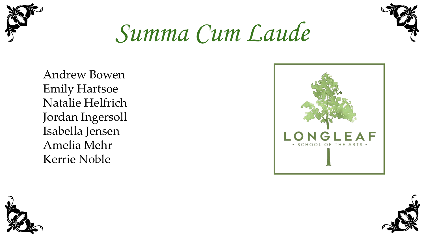



Summa Cum Laude

Andrew Bowen Emily Hartsoe Natalie Helfrich Jordan Ingersoll Isabella Jensen Amelia Mehr Kerrie Noble





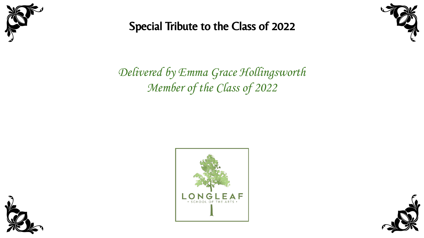

### Special Tribute to the Class of 2022



Delivered by Emma Grace Hollingsworth Member of the Class of 2022





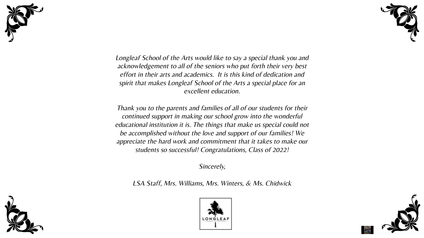



Longleaf School of the Arts would like to say a special thank you and acknowledgement to all of the seniors who put forth their very best effort in their arts and academics. It is this kind of dedication and spirit that makes Longleaf School of the Arts a special place for an excellent education.

Thank you to the parents and families of all of our students for their continued support in making our school grow into the wonderful educational institution it is. The things that make us special could not be accomplished without the love and support of our families! We appreciate the hard work and commitment that it takes to make our students so successful! Congratulations, Class of 2022!

Sincerely,

LSA Staff, Mrs. Williams, Mrs. Winters, & Ms. Chidwick